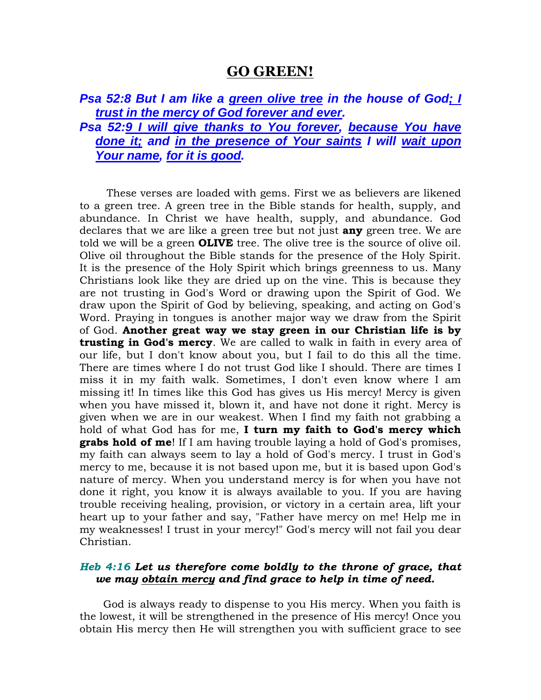## **GO GREEN!**

*Psa 52:8 But I am like a green olive tree in the house of God; I trust in the mercy of God forever and ever. Psa 52:9 I will give thanks to You forever, because You have done it; and in the presence of Your saints I will wait upon* 

*Your name, for it is good.* 

 These verses are loaded with gems. First we as believers are likened to a green tree. A green tree in the Bible stands for health, supply, and abundance. In Christ we have health, supply, and abundance. God declares that we are like a green tree but not just **any** green tree. We are told we will be a green **OLIVE** tree. The olive tree is the source of olive oil. Olive oil throughout the Bible stands for the presence of the Holy Spirit. It is the presence of the Holy Spirit which brings greenness to us. Many Christians look like they are dried up on the vine. This is because they are not trusting in God's Word or drawing upon the Spirit of God. We draw upon the Spirit of God by believing, speaking, and acting on God's Word. Praying in tongues is another major way we draw from the Spirit of God. **Another great way we stay green in our Christian life is by trusting in God's mercy**. We are called to walk in faith in every area of our life, but I don't know about you, but I fail to do this all the time. There are times where I do not trust God like I should. There are times I miss it in my faith walk. Sometimes, I don't even know where I am missing it! In times like this God has gives us His mercy! Mercy is given when you have missed it, blown it, and have not done it right. Mercy is given when we are in our weakest. When I find my faith not grabbing a hold of what God has for me, **I turn my faith to God's mercy which grabs hold of me**! If I am having trouble laying a hold of God's promises, my faith can always seem to lay a hold of God's mercy. I trust in God's mercy to me, because it is not based upon me, but it is based upon God's nature of mercy. When you understand mercy is for when you have not done it right, you know it is always available to you. If you are having trouble receiving healing, provision, or victory in a certain area, lift your heart up to your father and say, "Father have mercy on me! Help me in my weaknesses! I trust in your mercy!" God's mercy will not fail you dear Christian.

## *Heb 4:16 Let us therefore come boldly to the throne of grace, that we may obtain mercy and find grace to help in time of need.*

 God is always ready to dispense to you His mercy. When you faith is the lowest, it will be strengthened in the presence of His mercy! Once you obtain His mercy then He will strengthen you with sufficient grace to see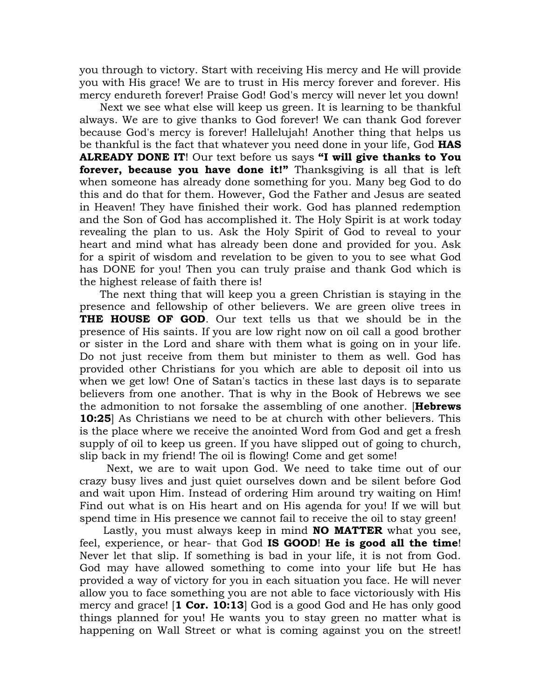you through to victory. Start with receiving His mercy and He will provide you with His grace! We are to trust in His mercy forever and forever. His mercy endureth forever! Praise God! God's mercy will never let you down!

 Next we see what else will keep us green. It is learning to be thankful always. We are to give thanks to God forever! We can thank God forever because God's mercy is forever! Hallelujah! Another thing that helps us be thankful is the fact that whatever you need done in your life, God **HAS ALREADY DONE IT**! Our text before us says **"I will give thanks to You forever, because you have done it!"** Thanksgiving is all that is left when someone has already done something for you. Many beg God to do this and do that for them. However, God the Father and Jesus are seated in Heaven! They have finished their work. God has planned redemption and the Son of God has accomplished it. The Holy Spirit is at work today revealing the plan to us. Ask the Holy Spirit of God to reveal to your heart and mind what has already been done and provided for you. Ask for a spirit of wisdom and revelation to be given to you to see what God has DONE for you! Then you can truly praise and thank God which is the highest release of faith there is!

 The next thing that will keep you a green Christian is staying in the presence and fellowship of other believers. We are green olive trees in **THE HOUSE OF GOD**. Our text tells us that we should be in the presence of His saints. If you are low right now on oil call a good brother or sister in the Lord and share with them what is going on in your life. Do not just receive from them but minister to them as well. God has provided other Christians for you which are able to deposit oil into us when we get low! One of Satan's tactics in these last days is to separate believers from one another. That is why in the Book of Hebrews we see the admonition to not forsake the assembling of one another. [**Hebrews 10:25**] As Christians we need to be at church with other believers. This is the place where we receive the anointed Word from God and get a fresh supply of oil to keep us green. If you have slipped out of going to church, slip back in my friend! The oil is flowing! Come and get some!

 Next, we are to wait upon God. We need to take time out of our crazy busy lives and just quiet ourselves down and be silent before God and wait upon Him. Instead of ordering Him around try waiting on Him! Find out what is on His heart and on His agenda for you! If we will but spend time in His presence we cannot fail to receive the oil to stay green!

 Lastly, you must always keep in mind **NO MATTER** what you see, feel, experience, or hear- that God **IS GOOD**! **He is good all the time**! Never let that slip. If something is bad in your life, it is not from God. God may have allowed something to come into your life but He has provided a way of victory for you in each situation you face. He will never allow you to face something you are not able to face victoriously with His mercy and grace! [**1 Cor. 10:13**] God is a good God and He has only good things planned for you! He wants you to stay green no matter what is happening on Wall Street or what is coming against you on the street!